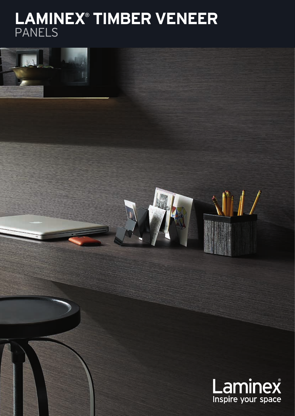# **LAMINEX**®  **TIMBER VENEER** PANELS

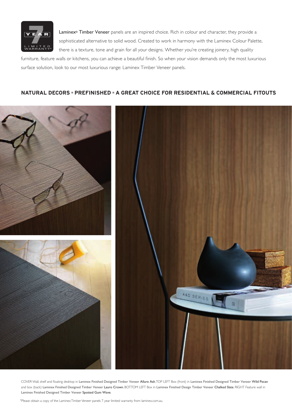

Laminex® Timber Veneer panels are an inspired choice. Rich in colour and character, they provide a sophisticated alternative to solid wood. Created to work in harmony with the Laminex Colour Palette, there is a texture, tone and grain for all your designs. Whether you're creating joinery, high quality

furniture, feature walls or kitchens, you can achieve a beautiful finish. So when your vision demands only the most luxurious surface solution, look to our most luxurious range: Laminex Timber Veneer panels.

## **NATURAL DECORS = PREFINISHED = A GREAT CHOICE FOR RESIDENTIAL & COMMERCIAL FITOUTS**



COVER Wall, shelf and floating desktop in Laminex Finished Designed Timber Veneer Allure Ash. TOP LEFT Box (front) in Laminex Finished Designed Timber Veneer Wild Pecan and box (back) Laminex Finished Designed Timber Veneer Lauro Crown. BOTTOM LEFT Box in Laminex Finished Design Timber Veneer Chalked Slate. RIGHT Feature wall in Laminex Finished Designed Timber Veneer Spotted Gum Wave.

\*Please obtain a copy of the Laminex Timber Veneer panels 7 year limited warranty from laminex.com.au.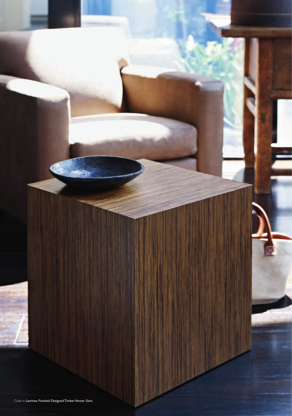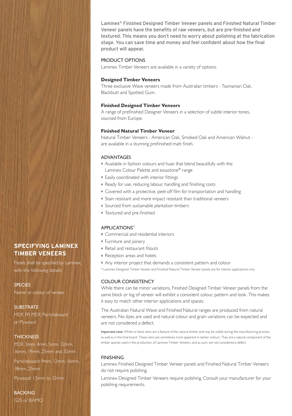Laminex® Finished Designed Timber Veneer panels and Finished Natural Timber Veneer panels have the benefits of raw veneers, but are pre-finished and textured. This means you don't need to worry about polishing at the fabrication stage. You can save time and money and feel confident about how the final product will appear.

#### PRODUCT OPTIONS

Laminex Timber Veneers are available in a variety of options.

## **Designed Timber Veneers**

Three exclusive Wave veneers made from Australian timbers - Tasmanian Oak, Blackbutt and Spotted Gum.

#### **Finished Designed Timber Veneers**

A range of prefinished Designer Veneers in a selection of subtle interior tones, sourced from Europe.

## **Finished Natural Timber Veneer**

Natural Timber Veneers - American Oak, Smoked Oak and American Walnut are available in a stunning prefinished matt finish.

#### ADVANTAGES

- Available in fashion colours and hues that blend beautifully with the Laminex Colour Palette and essastone® range
- Easily coordinated with interior fittings
- Ready for use, reducing labour, handling and finishing costs
- Covered with a protective, peel-off film for transportation and handling
- Stain resistant and more impact resistant than traditional veneers
- Sourced from sustainable plantation timbers
- Textured and pre-finished

#### APPLICATIONS**\***

- Commercial and residential interiors
- **Furniture and joinery**
- Retail and restaurant fitouts
- Reception areas and hotels
- Any interior project that demands a consistent pattern and colour
- \* Laminex Designed Timber Veneer and Finished Natural Timber Veneer panels are for interior applications only.

## COLOUR CONSISTENCY

While there can be minor variations, Finished Designed Timber Veneer panels from the same block or log of veneer will exhibit a consistent colour, pattern and look. This makes it easy to match other interior applications and spaces.

The Australian Natural Wave and Finished Natural ranges are produced from natural veneers. No dyes are used and natural colour and grain variations can be expected and are not considered a defect.

Important note: White or black veins are a feature of the natural timber and may be visible during the manufacturing process, as well as in the final board. These veins are sometimes more apparent in darker colours. They are a natural component of the timber species used in the production of Laminex Timber Veneers, and as such, are not considered a defect.

#### **FINISHING**

Laminex Finished Designed Timber Veneer panels and Finished Natural Timber Veneers do not require polishing.

Laminex Designed Timber Veneers require polishing. Consult your manufacturer for your polishing requirements.

**SPECIFYING LAMINEX TIMBER VENEERS** 

Panels shall be specified by Laminex, with the following details:

#### **SPECIES**

Name or colour of veneer

#### **SUBSTRATE**

MDF, FR MDF, Particleboard or Plywood

#### **THICKNESS**

MDF: 3mm, 4mm, 5mm, 12mm, 16mm, 19mm, 25mm and 32mm Particleboard: 9mm, 12mm, 16mm,

18mm, 25mm

Plywood: 1.5mm to 32mm

## BACKING G2S or BAMO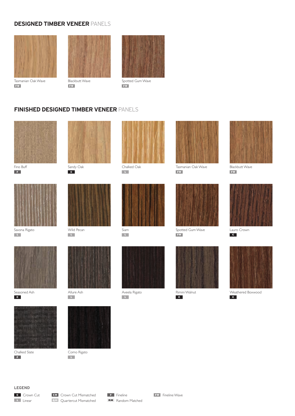## **DESIGNED TIMBER VENEER** PANELS







Tasmanian Oak Wave **FW**

**FW**

Spotted Gum Wave **FW**

## **FINISHED DESIGNED TIMBER VENEER** PANELS



![](_page_4_Picture_10.jpeg)

![](_page_4_Picture_12.jpeg)

![](_page_4_Picture_13.jpeg)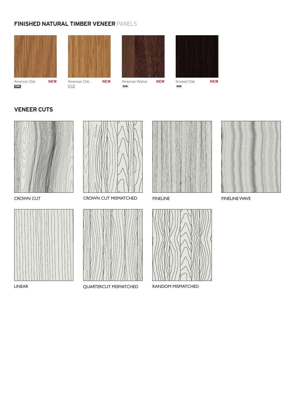# **FINISHED NATURAL TIMBER VENEER** PANELS

**QM**

![](_page_5_Picture_1.jpeg)

![](_page_5_Picture_2.jpeg)

![](_page_5_Picture_3.jpeg)

American Walnut **NEW RM**

Smoked Oak **NEW** 

![](_page_5_Picture_6.jpeg)

**RM**

## **VENEER CUTS**

**CM**

![](_page_5_Picture_10.jpeg)

![](_page_5_Picture_12.jpeg)

![](_page_5_Picture_13.jpeg)

![](_page_5_Picture_14.jpeg)

CROWN CUT CROWN CUT MISMATCHED FINELINE FINELINE FINELINE WAVE

![](_page_5_Picture_16.jpeg)

LINEAR QUARTERCUT MISMATCHED RANDOM MISMATCHED

![](_page_5_Picture_18.jpeg)

![](_page_5_Picture_19.jpeg)

![](_page_5_Picture_20.jpeg)

![](_page_5_Picture_22.jpeg)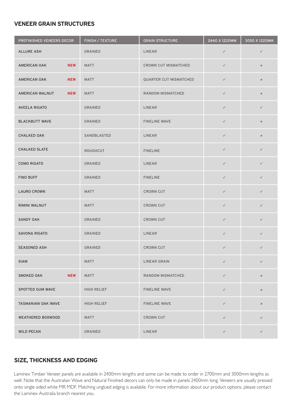## **VENEER GRAIN STRUCTURES**

| PREFINISHED VENEERS DECOR         | FINISH / TEXTURE   | <b>GRAIN STRUCTURE</b>        | 2440 X 1220MM | 3050 X 1220MM  |
|-----------------------------------|--------------------|-------------------------------|---------------|----------------|
| <b>ALLURE ASH</b>                 | <b>GRAINED</b>     | <b>LINEAR</b>                 | $\checkmark$  | $\checkmark$   |
| <b>AMERICAN OAK</b><br><b>NEW</b> | <b>MATT</b>        | <b>CROWN CUT MISMATCHED</b>   | $\checkmark$  | $\pmb{\times}$ |
| <b>NEW</b><br>AMERICAN OAK        | <b>MATT</b>        | <b>QUARTER CUT MISMATCHED</b> | $\checkmark$  | $\pmb{\times}$ |
| <b>NEW</b><br>AMERICAN WALNUT     | <b>MATT</b>        | RANDOM MISMATCHED             | $\checkmark$  | $\pmb{\times}$ |
| <b>AVEELA RIGATO</b>              | <b>GRAINED</b>     | LINEAR                        | $\checkmark$  | $\checkmark$   |
| <b>BLACKBUTT WAVE</b>             | <b>GRAINED</b>     | <b>FINELINE WAVE</b>          | $\checkmark$  | $\pmb{\times}$ |
| <b>CHALKED OAK</b>                | SANDBLASTED        | <b>LINEAR</b>                 | $\checkmark$  | $\pmb{\times}$ |
| <b>CHALKED SLATE</b>              | <b>ROUGHCUT</b>    | <b>FINELINE</b>               | $\checkmark$  | $\checkmark$   |
| <b>COMO RIGATO</b>                | <b>GRAINED</b>     | <b>LINEAR</b>                 | $\checkmark$  | $\checkmark$   |
| <b>FINO BUFF</b>                  | <b>GRAINED</b>     | <b>FINELINE</b>               | $\checkmark$  | $\checkmark$   |
| <b>LAURO CROWN</b>                | <b>MATT</b>        | <b>CROWN CUT</b>              | $\checkmark$  | $\checkmark$   |
| RIMINI WALNUT                     | <b>MATT</b>        | <b>CROWN CUT</b>              | $\checkmark$  | $\checkmark$   |
| <b>SANDY OAK</b>                  | <b>GRAINED</b>     | <b>CROWN CUT</b>              | $\checkmark$  | $\checkmark$   |
| <b>SAVONA RIGATO</b>              | <b>GRAINED</b>     | LINEAR                        | $\checkmark$  | $\checkmark$   |
| <b>SEASONED ASH</b>               | <b>GRAINED</b>     | <b>CROWN CUT</b>              | $\checkmark$  | $\checkmark$   |
| <b>SIAM</b>                       | <b>MATT</b>        | <b>LINEAR GRAIN</b>           | $\checkmark$  | $\checkmark$   |
| <b>NEW</b><br><b>SMOKED OAK</b>   | <b>MATT</b>        | RANDOM MISMATCHED             | $\checkmark$  | $\pmb{\times}$ |
| <b>SPOTTED GUM WAVE</b>           | <b>HIGH RELIEF</b> | <b>FINELINE WAVE</b>          | $\checkmark$  | $\pmb{\times}$ |
| <b>TASMANIAN OAK WAVE</b>         | <b>HIGH RELIEF</b> | <b>FINELINE WAVE</b>          | $\checkmark$  | $\pmb{\times}$ |
| <b>WEATHERED BOXWOOD</b>          | <b>MATT</b>        | <b>CROWN CUT</b>              | $\checkmark$  | $\checkmark$   |
| <b>WILD PECAN</b>                 | <b>GRAINED</b>     | LINEAR                        | $\checkmark$  | $\checkmark$   |

# **SIZE, THICKNESS AND EDGING**

Laminex Timber Veneer panels are available in 2400mm lengths and some can be made to order in 2700mm and 3000mm lengths as well. Note that the Australian Wave and Natural Finished decors can only be made in panels 2400mm long. Veneers are usually pressed onto single sided white MR MDF. Matching unglued edging is available. For more information about our product options, please contact the Laminex Australia branch nearest you.